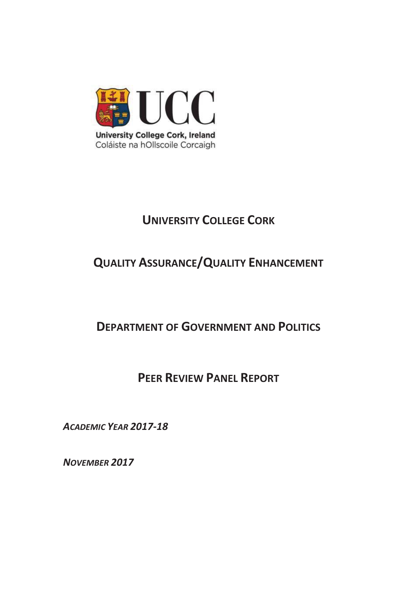

# **UNIVERSITY COLLEGE CORK**

## **QUALITY ASSURANCE/QUALITY ENHANCEMENT**

## **DEPARTMENT OF GOVERNMENT AND POLITICS**

## **PEER REVIEW PANEL REPORT**

*ACADEMIC YEAR 2017-18* 

*NOVEMBER 2017*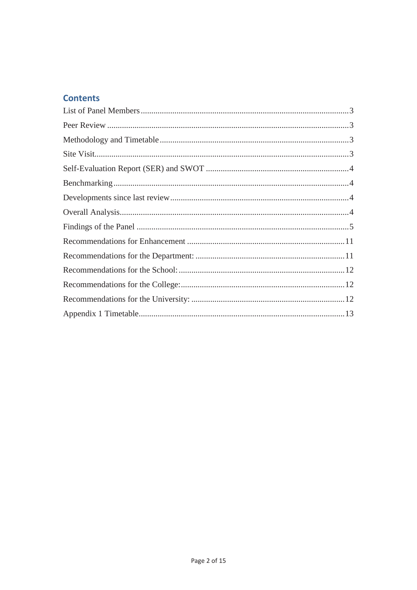## **Contents**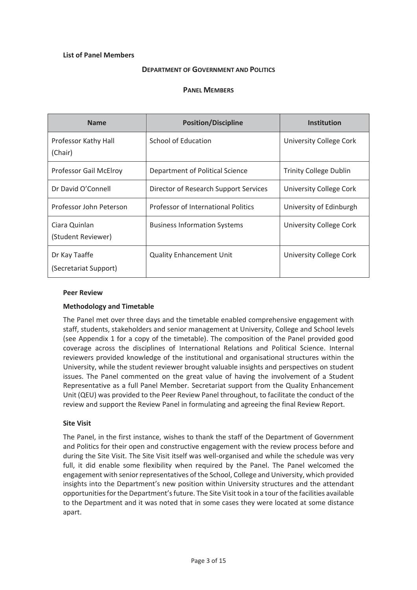## **List of Panel Members**

#### **DEPARTMENT OF GOVERNMENT AND POLITICS**

#### **PANEL MEMBERS**

| <b>Name</b>                            | <b>Position/Discipline</b>            | <b>Institution</b>            |
|----------------------------------------|---------------------------------------|-------------------------------|
| Professor Kathy Hall<br>(Chair)        | School of Education                   | University College Cork       |
| Professor Gail McElroy                 | Department of Political Science       | <b>Trinity College Dublin</b> |
| Dr David O'Connell                     | Director of Research Support Services | University College Cork       |
| Professor John Peterson                | Professor of International Politics   | University of Edinburgh       |
| Ciara Quinlan<br>(Student Reviewer)    | <b>Business Information Systems</b>   | University College Cork       |
| Dr Kay Taaffe<br>(Secretariat Support) | <b>Quality Enhancement Unit</b>       | University College Cork       |

#### **Peer Review**

#### **Methodology and Timetable**

The Panel met over three days and the timetable enabled comprehensive engagement with staff, students, stakeholders and senior management at University, College and School levels (see Appendix 1 for a copy of the timetable). The composition of the Panel provided good coverage across the disciplines of International Relations and Political Science. Internal reviewers provided knowledge of the institutional and organisational structures within the University, while the student reviewer brought valuable insights and perspectives on student issues. The Panel commented on the great value of having the involvement of a Student Representative as a full Panel Member. Secretariat support from the Quality Enhancement Unit (QEU) was provided to the Peer Review Panel throughout, to facilitate the conduct of the review and support the Review Panel in formulating and agreeing the final Review Report.

#### **Site Visit**

The Panel, in the first instance, wishes to thank the staff of the Department of Government and Politics for their open and constructive engagement with the review process before and during the Site Visit. The Site Visit itself was well-organised and while the schedule was very full, it did enable some flexibility when required by the Panel. The Panel welcomed the engagement with senior representatives of the School, College and University, which provided insights into the Department's new position within University structures and the attendant opportunities for the Department's future. The Site Visit took in a tour of the facilities available to the Department and it was noted that in some cases they were located at some distance apart.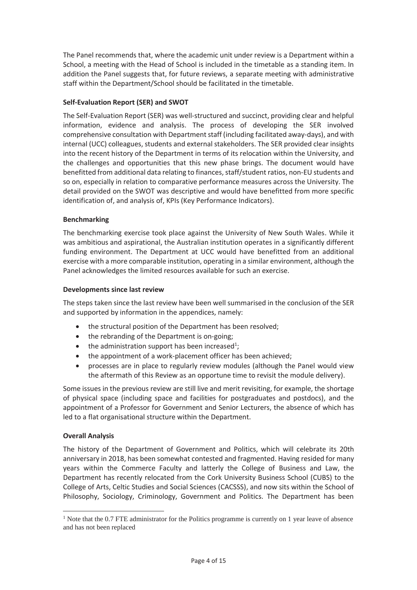The Panel recommends that, where the academic unit under review is a Department within a School, a meeting with the Head of School is included in the timetable as a standing item. In addition the Panel suggests that, for future reviews, a separate meeting with administrative staff within the Department/School should be facilitated in the timetable.

## **Self-Evaluation Report (SER) and SWOT**

The Self-Evaluation Report (SER) was well-structured and succinct, providing clear and helpful information, evidence and analysis. The process of developing the SER involved comprehensive consultation with Department staff (including facilitated away-days), and with internal (UCC) colleagues, students and external stakeholders. The SER provided clear insights into the recent history of the Department in terms of its relocation within the University, and the challenges and opportunities that this new phase brings. The document would have benefitted from additional data relating to finances, staff/student ratios, non-EU students and so on, especially in relation to comparative performance measures across the University. The detail provided on the SWOT was descriptive and would have benefitted from more specific identification of, and analysis of, KPIs (Key Performance Indicators).

## **Benchmarking**

The benchmarking exercise took place against the University of New South Wales. While it was ambitious and aspirational, the Australian institution operates in a significantly different funding environment. The Department at UCC would have benefitted from an additional exercise with a more comparable institution, operating in a similar environment, although the Panel acknowledges the limited resources available for such an exercise.

## **Developments since last review**

The steps taken since the last review have been well summarised in the conclusion of the SER and supported by information in the appendices, namely:

- the structural position of the Department has been resolved;
- the rebranding of the Department is on-going;
- $\bullet$  the administration support has been increased<sup>1</sup>;
- the appointment of a work-placement officer has been achieved;
- x processes are in place to regularly review modules (although the Panel would view the aftermath of this Review as an opportune time to revisit the module delivery).

Some issues in the previous review are still live and merit revisiting, for example, the shortage of physical space (including space and facilities for postgraduates and postdocs), and the appointment of a Professor for Government and Senior Lecturers, the absence of which has led to a flat organisational structure within the Department.

## **Overall Analysis**

 $\overline{a}$ 

The history of the Department of Government and Politics, which will celebrate its 20th anniversary in 2018, has been somewhat contested and fragmented. Having resided for many years within the Commerce Faculty and latterly the College of Business and Law, the Department has recently relocated from the Cork University Business School (CUBS) to the College of Arts, Celtic Studies and Social Sciences (CACSSS), and now sits within the School of Philosophy, Sociology, Criminology, Government and Politics. The Department has been

<sup>&</sup>lt;sup>1</sup> Note that the 0.7 FTE administrator for the Politics programme is currently on 1 year leave of absence and has not been replaced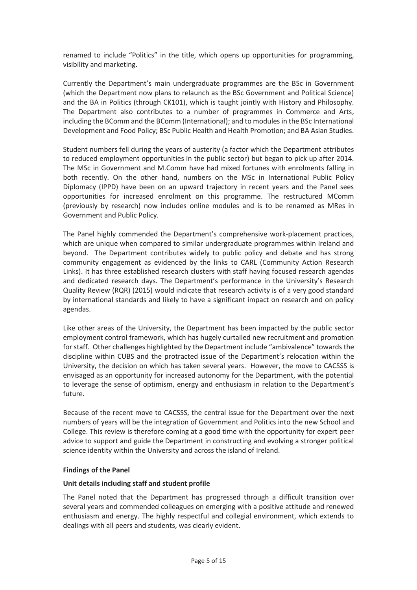renamed to include "Politics" in the title, which opens up opportunities for programming, visibility and marketing.

Currently the Department's main undergraduate programmes are the BSc in Government (which the Department now plans to relaunch as the BSc Government and Political Science) and the BA in Politics (through CK101), which is taught jointly with History and Philosophy. The Department also contributes to a number of programmes in Commerce and Arts, including the BComm and the BComm (International); and to modules in the BSc International Development and Food Policy; BSc Public Health and Health Promotion; and BA Asian Studies.

Student numbers fell during the years of austerity (a factor which the Department attributes to reduced employment opportunities in the public sector) but began to pick up after 2014. The MSc in Government and M.Comm have had mixed fortunes with enrolments falling in both recently. On the other hand, numbers on the MSc in International Public Policy Diplomacy (IPPD) have been on an upward trajectory in recent years and the Panel sees opportunities for increased enrolment on this programme. The restructured MComm (previously by research) now includes online modules and is to be renamed as MRes in Government and Public Policy.

The Panel highly commended the Department's comprehensive work-placement practices, which are unique when compared to similar undergraduate programmes within Ireland and beyond. The Department contributes widely to public policy and debate and has strong community engagement as evidenced by the links to CARL (Community Action Research Links). It has three established research clusters with staff having focused research agendas and dedicated research days. The Department's performance in the University's Research Quality Review (RQR) (2015) would indicate that research activity is of a very good standard by international standards and likely to have a significant impact on research and on policy agendas.

Like other areas of the University, the Department has been impacted by the public sector employment control framework, which has hugely curtailed new recruitment and promotion for staff. Other challenges highlighted by the Department include "ambivalence" towards the discipline within CUBS and the protracted issue of the Department's relocation within the University, the decision on which has taken several years. However, the move to CACSSS is envisaged as an opportunity for increased autonomy for the Department, with the potential to leverage the sense of optimism, energy and enthusiasm in relation to the Department's future.

Because of the recent move to CACSSS, the central issue for the Department over the next numbers of years will be the integration of Government and Politics into the new School and College. This review is therefore coming at a good time with the opportunity for expert peer advice to support and guide the Department in constructing and evolving a stronger political science identity within the University and across the island of Ireland.

## **Findings of the Panel**

## **Unit details including staff and student profile**

The Panel noted that the Department has progressed through a difficult transition over several years and commended colleagues on emerging with a positive attitude and renewed enthusiasm and energy. The highly respectful and collegial environment, which extends to dealings with all peers and students, was clearly evident.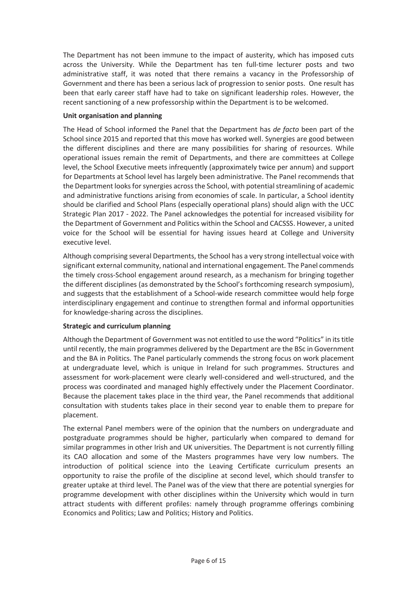The Department has not been immune to the impact of austerity, which has imposed cuts across the University. While the Department has ten full-time lecturer posts and two administrative staff, it was noted that there remains a vacancy in the Professorship of Government and there has been a serious lack of progression to senior posts. One result has been that early career staff have had to take on significant leadership roles. However, the recent sanctioning of a new professorship within the Department is to be welcomed.

## **Unit organisation and planning**

The Head of School informed the Panel that the Department has *de facto* been part of the School since 2015 and reported that this move has worked well. Synergies are good between the different disciplines and there are many possibilities for sharing of resources. While operational issues remain the remit of Departments, and there are committees at College level, the School Executive meets infrequently (approximately twice per annum) and support for Departments at School level has largely been administrative. The Panel recommends that the Department looks for synergies across the School, with potential streamlining of academic and administrative functions arising from economies of scale. In particular, a School identity should be clarified and School Plans (especially operational plans) should align with the UCC Strategic Plan 2017 - 2022. The Panel acknowledges the potential for increased visibility for the Department of Government and Politics within the School and CACSSS. However, a united voice for the School will be essential for having issues heard at College and University executive level.

Although comprising several Departments, the School has a very strong intellectual voice with significant external community, national and international engagement. The Panel commends the timely cross-School engagement around research, as a mechanism for bringing together the different disciplines (as demonstrated by the School's forthcoming research symposium), and suggests that the establishment of a School-wide research committee would help forge interdisciplinary engagement and continue to strengthen formal and informal opportunities for knowledge-sharing across the disciplines.

## **Strategic and curriculum planning**

Although the Department of Government was not entitled to use the word "Politics" in its title until recently, the main programmes delivered by the Department are the BSc in Government and the BA in Politics. The Panel particularly commends the strong focus on work placement at undergraduate level, which is unique in Ireland for such programmes. Structures and assessment for work-placement were clearly well-considered and well-structured, and the process was coordinated and managed highly effectively under the Placement Coordinator. Because the placement takes place in the third year, the Panel recommends that additional consultation with students takes place in their second year to enable them to prepare for placement.

The external Panel members were of the opinion that the numbers on undergraduate and postgraduate programmes should be higher, particularly when compared to demand for similar programmes in other Irish and UK universities. The Department is not currently filling its CAO allocation and some of the Masters programmes have very low numbers. The introduction of political science into the Leaving Certificate curriculum presents an opportunity to raise the profile of the discipline at second level, which should transfer to greater uptake at third level. The Panel was of the view that there are potential synergies for programme development with other disciplines within the University which would in turn attract students with different profiles: namely through programme offerings combining Economics and Politics; Law and Politics; History and Politics.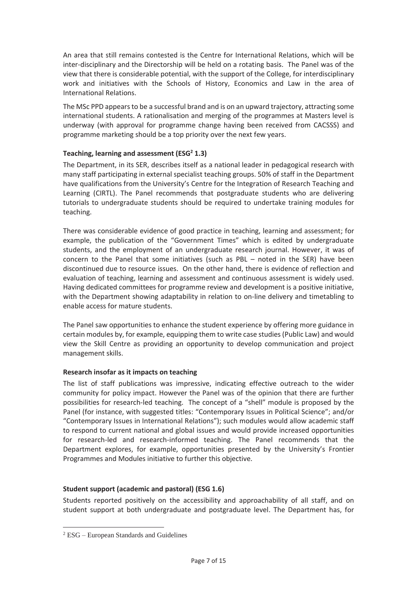An area that still remains contested is the Centre for International Relations, which will be inter-disciplinary and the Directorship will be held on a rotating basis. The Panel was of the view that there is considerable potential, with the support of the College, for interdisciplinary work and initiatives with the Schools of History, Economics and Law in the area of International Relations.

The MSc PPD appears to be a successful brand and is on an upward trajectory, attracting some international students. A rationalisation and merging of the programmes at Masters level is underway (with approval for programme change having been received from CACSSS) and programme marketing should be a top priority over the next few years.

## Teaching, learning and assessment (ESG<sup>2</sup> 1.3)

The Department, in its SER, describes itself as a national leader in pedagogical research with many staff participating in external specialist teaching groups. 50% of staff in the Department have qualifications from the University's Centre for the Integration of Research Teaching and Learning (CIRTL). The Panel recommends that postgraduate students who are delivering tutorials to undergraduate students should be required to undertake training modules for teaching.

There was considerable evidence of good practice in teaching, learning and assessment; for example, the publication of the "Government Times" which is edited by undergraduate students, and the employment of an undergraduate research journal. However, it was of concern to the Panel that some initiatives (such as PBL – noted in the SER) have been discontinued due to resource issues. On the other hand, there is evidence of reflection and evaluation of teaching, learning and assessment and continuous assessment is widely used. Having dedicated committees for programme review and development is a positive initiative, with the Department showing adaptability in relation to on-line delivery and timetabling to enable access for mature students.

The Panel saw opportunities to enhance the student experience by offering more guidance in certain modules by, for example, equipping them to write case studies (Public Law) and would view the Skill Centre as providing an opportunity to develop communication and project management skills.

## **Research insofar as it impacts on teaching**

The list of staff publications was impressive, indicating effective outreach to the wider community for policy impact. However the Panel was of the opinion that there are further possibilities for research-led teaching. The concept of a "shell" module is proposed by the Panel (for instance, with suggested titles: "Contemporary Issues in Political Science"; and/or "Contemporary Issues in International Relations"); such modules would allow academic staff to respond to current national and global issues and would provide increased opportunities for research-led and research-informed teaching. The Panel recommends that the Department explores, for example, opportunities presented by the University's Frontier Programmes and Modules initiative to further this objective.

## **Student support (academic and pastoral) (ESG 1.6)**

Students reported positively on the accessibility and approachability of all staff, and on student support at both undergraduate and postgraduate level. The Department has, for

-

<sup>2</sup> ESG – European Standards and Guidelines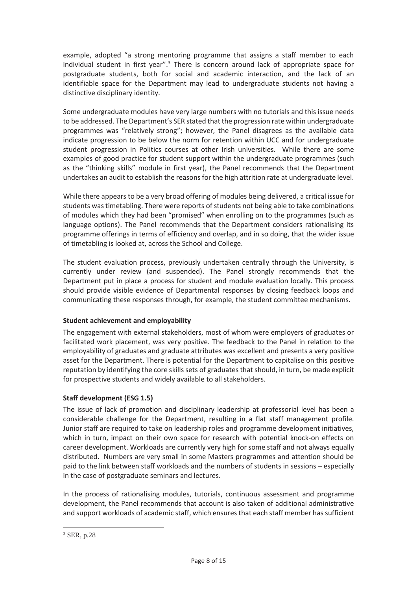example, adopted "a strong mentoring programme that assigns a staff member to each individual student in first year".<sup>3</sup> There is concern around lack of appropriate space for postgraduate students, both for social and academic interaction, and the lack of an identifiable space for the Department may lead to undergraduate students not having a distinctive disciplinary identity.

Some undergraduate modules have very large numbers with no tutorials and this issue needs to be addressed. The Department's SER stated that the progression rate within undergraduate programmes was "relatively strong"; however, the Panel disagrees as the available data indicate progression to be below the norm for retention within UCC and for undergraduate student progression in Politics courses at other Irish universities. While there are some examples of good practice for student support within the undergraduate programmes (such as the "thinking skills" module in first year), the Panel recommends that the Department undertakes an audit to establish the reasons for the high attrition rate at undergraduate level.

While there appears to be a very broad offering of modules being delivered, a critical issue for students was timetabling. There were reports of students not being able to take combinations of modules which they had been "promised" when enrolling on to the programmes (such as language options). The Panel recommends that the Department considers rationalising its programme offerings in terms of efficiency and overlap, and in so doing, that the wider issue of timetabling is looked at, across the School and College.

The student evaluation process, previously undertaken centrally through the University, is currently under review (and suspended). The Panel strongly recommends that the Department put in place a process for student and module evaluation locally. This process should provide visible evidence of Departmental responses by closing feedback loops and communicating these responses through, for example, the student committee mechanisms.

## **Student achievement and employability**

The engagement with external stakeholders, most of whom were employers of graduates or facilitated work placement, was very positive. The feedback to the Panel in relation to the employability of graduates and graduate attributes was excellent and presents a very positive asset for the Department. There is potential for the Department to capitalise on this positive reputation by identifying the core skills sets of graduates that should, in turn, be made explicit for prospective students and widely available to all stakeholders.

## **Staff development (ESG 1.5)**

The issue of lack of promotion and disciplinary leadership at professorial level has been a considerable challenge for the Department, resulting in a flat staff management profile. Junior staff are required to take on leadership roles and programme development initiatives, which in turn, impact on their own space for research with potential knock-on effects on career development. Workloads are currently very high for some staff and not always equally distributed. Numbers are very small in some Masters programmes and attention should be paid to the link between staff workloads and the numbers of students in sessions – especially in the case of postgraduate seminars and lectures.

In the process of rationalising modules, tutorials, continuous assessment and programme development, the Panel recommends that account is also taken of additional administrative and support workloads of academic staff, which ensures that each staff member has sufficient

-

<sup>3</sup> SER, p.28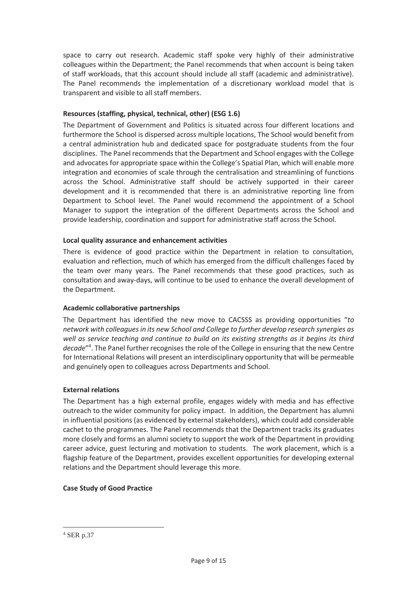space to carry out research. Academic staff spoke very highly of their administrative colleagues within the Department; the Panel recommends that when account is being taken of staff workloads, that this account should include all staff (academic and administrative). The Panel recommends the implementation of a discretionary workload model that is transparent and visible to all staff members.

## **Resources (staffing, physical, technical, other) (ESG 1.6)**

The Department of Government and Politics is situated across four different locations and furthermore the School is dispersed across multiple locations, The School would benefit from a central administration hub and dedicated space for postgraduate students from the four disciplines. The Panel recommends that the Department and School engages with the College and advocates for appropriate space within the College's Spatial Plan, which will enable more integration and economies of scale through the centralisation and streamlining of functions across the School. Administrative staff should be actively supported in their career development and it is recommended that there is an administrative reporting line from Department to School level. The Panel would recommend the appointment of a School Manager to support the integration of the different Departments across the School and provide leadership, coordination and support for administrative staff across the School.

## **Local quality assurance and enhancement activities**

There is evidence of good practice within the Department in relation to consultation, evaluation and reflection, much of which has emerged from the difficult challenges faced by the team over many years. The Panel recommends that these good practices, such as consultation and away-days, will continue to be used to enhance the overall development of the Department.

## **Academic collaborative partnerships**

The Department has identified the new move to CACSSS as providing opportunities "*to network with colleagues in its new School and College to further develop research synergies as well as service teaching and continue to build on its existing strengths as it begins its third decade*"4 . The Panel further recognises the role of the College in ensuring that the new Centre for International Relations will present an interdisciplinary opportunity that will be permeable and genuinely open to colleagues across Departments and School.

## **External relations**

The Department has a high external profile, engages widely with media and has effective outreach to the wider community for policy impact. In addition, the Department has alumni in influential positions (as evidenced by external stakeholders), which could add considerable cachet to the programmes. The Panel recommends that the Department tracks its graduates more closely and forms an alumni society to support the work of the Department in providing career advice, guest lecturing and motivation to students. The work placement, which is a flagship feature of the Department, provides excellent opportunities for developing external relations and the Department should leverage this more.

## **Case Study of Good Practice**

-

<sup>4</sup> SER p.37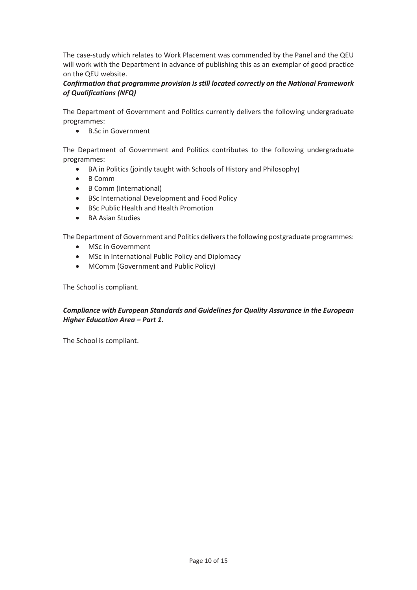The case-study which relates to Work Placement was commended by the Panel and the QEU will work with the Department in advance of publishing this as an exemplar of good practice on the QEU website.

## *Confirmation that programme provision is still located correctly on the National Framework of Qualifications (NFQ)*

The Department of Government and Politics currently delivers the following undergraduate programmes:

• B.Sc in Government

The Department of Government and Politics contributes to the following undergraduate programmes:

- BA in Politics (jointly taught with Schools of History and Philosophy)
- B Comm
- B Comm (International)
- BSc International Development and Food Policy
- BSc Public Health and Health Promotion
- BA Asian Studies

The Department of Government and Politics delivers the following postgraduate programmes:

- MSc in Government
- MSc in International Public Policy and Diplomacy
- MComm (Government and Public Policy)

The School is compliant.

## *Compliance with European Standards and Guidelines for Quality Assurance in the European Higher Education Area – Part 1.*

The School is compliant.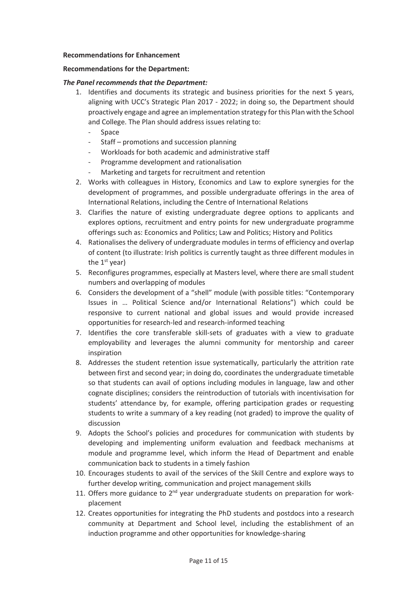#### **Recommendations for Enhancement**

#### **Recommendations for the Department:**

#### *The Panel recommends that the Department:*

- 1. Identifies and documents its strategic and business priorities for the next 5 years, aligning with UCC's Strategic Plan 2017 - 2022; in doing so, the Department should proactively engage and agree an implementation strategy for this Plan with the School and College. The Plan should address issues relating to:
	- **Space**
	- Staff promotions and succession planning
	- Workloads for both academic and administrative staff
	- Programme development and rationalisation
	- Marketing and targets for recruitment and retention
- 2. Works with colleagues in History, Economics and Law to explore synergies for the development of programmes, and possible undergraduate offerings in the area of International Relations, including the Centre of International Relations
- 3. Clarifies the nature of existing undergraduate degree options to applicants and explores options, recruitment and entry points for new undergraduate programme offerings such as: Economics and Politics; Law and Politics; History and Politics
- 4. Rationalises the delivery of undergraduate modules in terms of efficiency and overlap of content (to illustrate: Irish politics is currently taught as three different modules in the  $1<sup>st</sup>$  year)
- 5. Reconfigures programmes, especially at Masters level, where there are small student numbers and overlapping of modules
- 6. Considers the development of a "shell" module (with possible titles: "Contemporary Issues in … Political Science and/or International Relations") which could be responsive to current national and global issues and would provide increased opportunities for research-led and research-informed teaching
- 7. Identifies the core transferable skill-sets of graduates with a view to graduate employability and leverages the alumni community for mentorship and career inspiration
- 8. Addresses the student retention issue systematically, particularly the attrition rate between first and second year; in doing do, coordinates the undergraduate timetable so that students can avail of options including modules in language, law and other cognate disciplines; considers the reintroduction of tutorials with incentivisation for students' attendance by, for example, offering participation grades or requesting students to write a summary of a key reading (not graded) to improve the quality of discussion
- 9. Adopts the School's policies and procedures for communication with students by developing and implementing uniform evaluation and feedback mechanisms at module and programme level, which inform the Head of Department and enable communication back to students in a timely fashion
- 10. Encourages students to avail of the services of the Skill Centre and explore ways to further develop writing, communication and project management skills
- 11. Offers more guidance to  $2<sup>nd</sup>$  year undergraduate students on preparation for workplacement
- 12. Creates opportunities for integrating the PhD students and postdocs into a research community at Department and School level, including the establishment of an induction programme and other opportunities for knowledge-sharing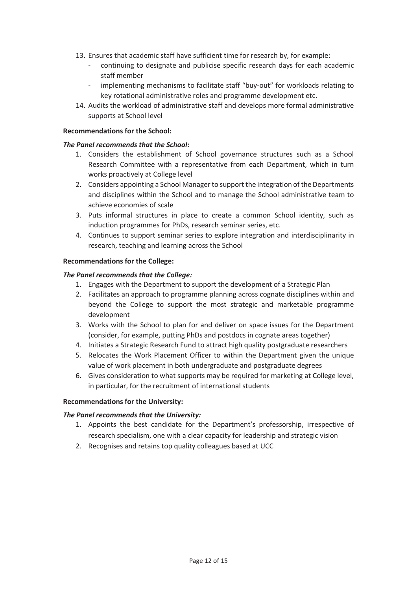- 13. Ensures that academic staff have sufficient time for research by, for example:
	- continuing to designate and publicise specific research days for each academic staff member
	- implementing mechanisms to facilitate staff "buy-out" for workloads relating to key rotational administrative roles and programme development etc.
- 14. Audits the workload of administrative staff and develops more formal administrative supports at School level

#### **Recommendations for the School:**

#### *The Panel recommends that the School:*

- 1. Considers the establishment of School governance structures such as a School Research Committee with a representative from each Department, which in turn works proactively at College level
- 2. Considers appointing a School Manager to support the integration of the Departments and disciplines within the School and to manage the School administrative team to achieve economies of scale
- 3. Puts informal structures in place to create a common School identity, such as induction programmes for PhDs, research seminar series, etc.
- 4. Continues to support seminar series to explore integration and interdisciplinarity in research, teaching and learning across the School

#### **Recommendations for the College:**

#### *The Panel recommends that the College:*

- 1. Engages with the Department to support the development of a Strategic Plan
- 2. Facilitates an approach to programme planning across cognate disciplines within and beyond the College to support the most strategic and marketable programme development
- 3. Works with the School to plan for and deliver on space issues for the Department (consider, for example, putting PhDs and postdocs in cognate areas together)
- 4. Initiates a Strategic Research Fund to attract high quality postgraduate researchers
- 5. Relocates the Work Placement Officer to within the Department given the unique value of work placement in both undergraduate and postgraduate degrees
- 6. Gives consideration to what supports may be required for marketing at College level, in particular, for the recruitment of international students

## **Recommendations for the University:**

## *The Panel recommends that the University:*

- 1. Appoints the best candidate for the Department's professorship, irrespective of research specialism, one with a clear capacity for leadership and strategic vision
- 2. Recognises and retains top quality colleagues based at UCC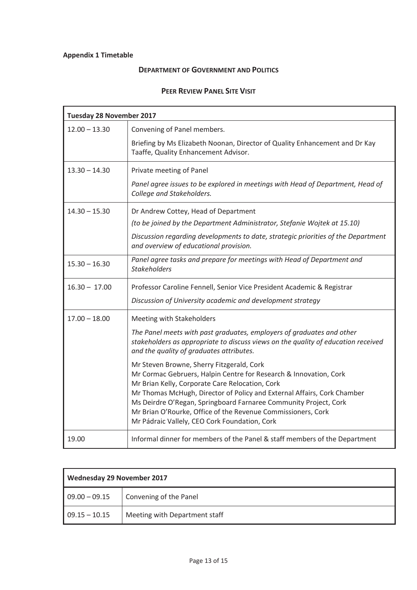## **Appendix 1 Timetable**

## **DEPARTMENT OF GOVERNMENT AND POLITICS**

## **PEER REVIEW PANEL SITE VISIT**

| <b>Tuesday 28 November 2017</b> |                                                                                                                                                                                                                                                                                                                                                                                                                                   |
|---------------------------------|-----------------------------------------------------------------------------------------------------------------------------------------------------------------------------------------------------------------------------------------------------------------------------------------------------------------------------------------------------------------------------------------------------------------------------------|
| $12.00 - 13.30$                 | Convening of Panel members.                                                                                                                                                                                                                                                                                                                                                                                                       |
|                                 | Briefing by Ms Elizabeth Noonan, Director of Quality Enhancement and Dr Kay<br>Taaffe, Quality Enhancement Advisor.                                                                                                                                                                                                                                                                                                               |
| $13.30 - 14.30$                 | Private meeting of Panel                                                                                                                                                                                                                                                                                                                                                                                                          |
|                                 | Panel agree issues to be explored in meetings with Head of Department, Head of<br>College and Stakeholders.                                                                                                                                                                                                                                                                                                                       |
| $14.30 - 15.30$                 | Dr Andrew Cottey, Head of Department                                                                                                                                                                                                                                                                                                                                                                                              |
|                                 | (to be joined by the Department Administrator, Stefanie Wojtek at 15.10)                                                                                                                                                                                                                                                                                                                                                          |
|                                 | Discussion regarding developments to date, strategic priorities of the Department<br>and overview of educational provision.                                                                                                                                                                                                                                                                                                       |
| $15.30 - 16.30$                 | Panel agree tasks and prepare for meetings with Head of Department and<br><b>Stakeholders</b>                                                                                                                                                                                                                                                                                                                                     |
| $16.30 - 17.00$                 | Professor Caroline Fennell, Senior Vice President Academic & Registrar                                                                                                                                                                                                                                                                                                                                                            |
|                                 | Discussion of University academic and development strategy                                                                                                                                                                                                                                                                                                                                                                        |
| $17.00 - 18.00$                 | Meeting with Stakeholders                                                                                                                                                                                                                                                                                                                                                                                                         |
|                                 | The Panel meets with past graduates, employers of graduates and other<br>stakeholders as appropriate to discuss views on the quality of education received<br>and the quality of graduates attributes.                                                                                                                                                                                                                            |
|                                 | Mr Steven Browne, Sherry Fitzgerald, Cork<br>Mr Cormac Gebruers, Halpin Centre for Research & Innovation, Cork<br>Mr Brian Kelly, Corporate Care Relocation, Cork<br>Mr Thomas McHugh, Director of Policy and External Affairs, Cork Chamber<br>Ms Deirdre O'Regan, Springboard Farnaree Community Project, Cork<br>Mr Brian O'Rourke, Office of the Revenue Commissioners, Cork<br>Mr Pádraic Vallely, CEO Cork Foundation, Cork |
| 19.00                           | Informal dinner for members of the Panel & staff members of the Department                                                                                                                                                                                                                                                                                                                                                        |

| <b>Wednesday 29 November 2017</b> |                               |
|-----------------------------------|-------------------------------|
| $09.00 - 09.15$                   | Convening of the Panel        |
| $09.15 - 10.15$                   | Meeting with Department staff |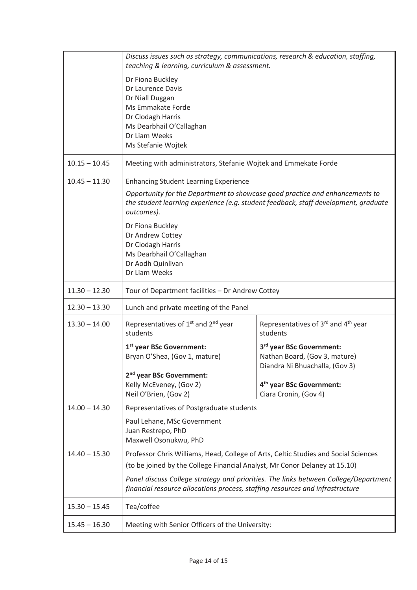|                 | Discuss issues such as strategy, communications, research & education, staffing,<br>teaching & learning, curriculum & assessment.                                     |                                                                                             |
|-----------------|-----------------------------------------------------------------------------------------------------------------------------------------------------------------------|---------------------------------------------------------------------------------------------|
|                 | Dr Fiona Buckley<br>Dr Laurence Davis<br>Dr Niall Duggan<br>Ms Emmakate Forde<br>Dr Clodagh Harris<br>Ms Dearbhail O'Callaghan<br>Dr Liam Weeks<br>Ms Stefanie Wojtek |                                                                                             |
| $10.15 - 10.45$ | Meeting with administrators, Stefanie Wojtek and Emmekate Forde                                                                                                       |                                                                                             |
| $10.45 - 11.30$ | <b>Enhancing Student Learning Experience</b><br>Opportunity for the Department to showcase good practice and enhancements to<br>outcomes).<br>Dr Fiona Buckley        | the student learning experience (e.g. student feedback, staff development, graduate         |
|                 | Dr Andrew Cottey<br>Dr Clodagh Harris<br>Ms Dearbhail O'Callaghan<br>Dr Aodh Quinlivan<br>Dr Liam Weeks                                                               |                                                                                             |
| $11.30 - 12.30$ | Tour of Department facilities - Dr Andrew Cottey                                                                                                                      |                                                                                             |
| $12.30 - 13.30$ | Lunch and private meeting of the Panel                                                                                                                                |                                                                                             |
| $13.30 - 14.00$ | Representatives of 1 <sup>st</sup> and 2 <sup>nd</sup> year<br>students                                                                                               | Representatives of 3rd and 4 <sup>th</sup> year<br>students                                 |
|                 | 1 <sup>st</sup> year BSc Government:<br>Bryan O'Shea, (Gov 1, mature)                                                                                                 | 3rd year BSc Government:<br>Nathan Board, (Gov 3, mature)<br>Diandra Ni Bhuachalla, (Gov 3) |
|                 | 2 <sup>nd</sup> year BSc Government:<br>Kelly McEveney, (Gov 2)<br>Neil O'Brien, (Gov 2)                                                                              | 4 <sup>th</sup> year BSc Government:<br>Ciara Cronin, (Gov 4)                               |
| $14.00 - 14.30$ | Representatives of Postgraduate students                                                                                                                              |                                                                                             |
|                 | Paul Lehane, MSc Government<br>Juan Restrepo, PhD<br>Maxwell Osonukwu, PhD                                                                                            |                                                                                             |
| $14.40 - 15.30$ | Professor Chris Williams, Head, College of Arts, Celtic Studies and Social Sciences<br>(to be joined by the College Financial Analyst, Mr Conor Delaney at 15.10)     |                                                                                             |
|                 | financial resource allocations process, staffing resources and infrastructure                                                                                         | Panel discuss College strategy and priorities. The links between College/Department         |
| $15.30 - 15.45$ | Tea/coffee                                                                                                                                                            |                                                                                             |
| $15.45 - 16.30$ | Meeting with Senior Officers of the University:                                                                                                                       |                                                                                             |